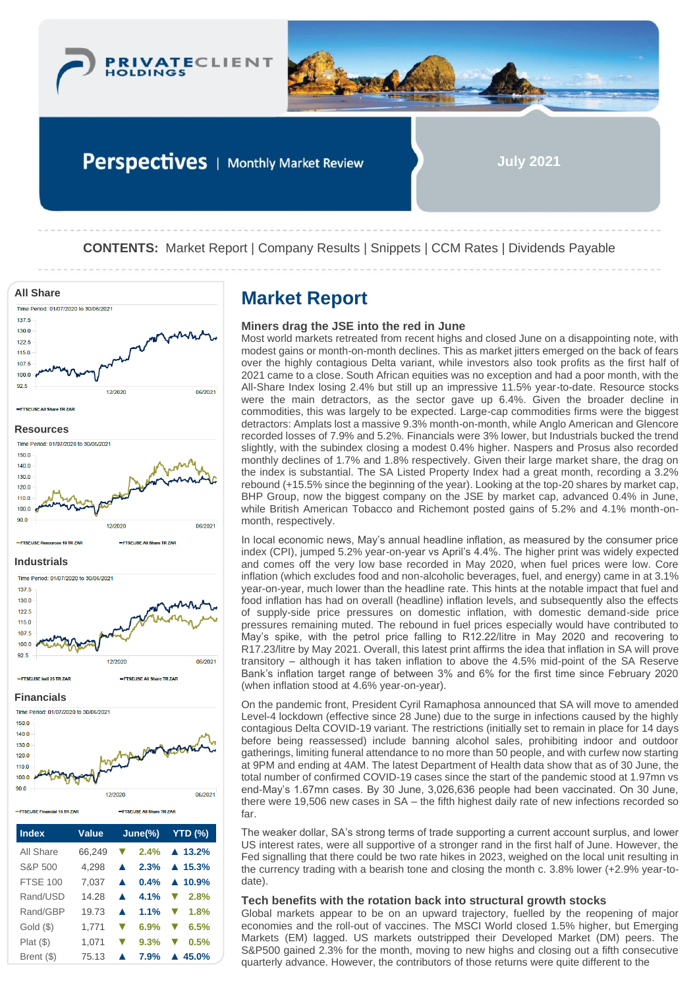



Perspectives | Monthly Market Review

**July 2021**

**CONTENTS:** Market Report | Company Results | Snippets | CCM Rates | Dividends Payable



| <b>Index</b>                  | <b>Value</b> | $June(\%)$                                   | <b>YTD (%)</b> |  |
|-------------------------------|--------------|----------------------------------------------|----------------|--|
| =FTSE/JSE Financial 15 TR ZAR |              | 1212020<br><b>EFTSELISE All Share TR ZAR</b> | uorzu          |  |
|                               |              |                                              |                |  |

| All Share       | 66,249 |                      |         | <b><math>\nabla</math></b> 2.4% $\triangle$ 13.2% |
|-----------------|--------|----------------------|---------|---------------------------------------------------|
| S&P 500         | 4.298  | $\blacktriangle$     |         | $2.3\%$ $\triangle$ 15.3%                         |
| <b>FTSE 100</b> | 7.037  | $\blacktriangle$     |         | $0.4\%$ $\triangle$ 10.9%                         |
| Rand/USD        | 14.28  | $\blacktriangle$     | $4.1\%$ | $\blacktriangledown$ 2.8%                         |
| Rand/GBP        | 19.73  | $\blacktriangle$     | 1.1%    | $\blacktriangledown$ 1.8%                         |
| Gold(S)         | 1.771  | $\blacktriangledown$ | 6.9%    | 6.5%<br>$\blacktriangledown$                      |
| Plat(S)         | 1,071  |                      | 9.3%    | 0.5%<br>v                                         |
| Brent (\$)      | 75.13  |                      | 7.9%    | $\triangle$ 45.0%                                 |

### **Miners drag the JSE into the red in June**

Most world markets retreated from recent highs and closed June on a disappointing note, with modest gains or month-on-month declines. This as market jitters emerged on the back of fears over the highly contagious Delta variant, while investors also took profits as the first half of 2021 came to a close. South African equities was no exception and had a poor month, with the All-Share Index losing 2.4% but still up an impressive 11.5% year-to-date. Resource stocks were the main detractors, as the sector gave up 6.4%. Given the broader decline in commodities, this was largely to be expected. Large-cap commodities firms were the biggest detractors: Amplats lost a massive 9.3% month-on-month, while Anglo American and Glencore recorded losses of 7.9% and 5.2%. Financials were 3% lower, but Industrials bucked the trend slightly, with the subindex closing a modest 0.4% higher. Naspers and Prosus also recorded monthly declines of 1.7% and 1.8% respectively. Given their large market share, the drag on the index is substantial. The SA Listed Property Index had a great month, recording a 3.2% rebound (+15.5% since the beginning of the year). Looking at the top-20 shares by market cap, BHP Group, now the biggest company on the JSE by market cap, advanced 0.4% in June, while British American Tobacco and Richemont posted gains of 5.2% and 4.1% month-onmonth, respectively.

In local economic news, May's annual headline inflation, as measured by the consumer price index (CPI), jumped 5.2% year-on-year vs April's 4.4%. The higher print was widely expected and comes off the very low base recorded in May 2020, when fuel prices were low. Core inflation (which excludes food and non-alcoholic beverages, fuel, and energy) came in at 3.1% year-on-year, much lower than the headline rate. This hints at the notable impact that fuel and food inflation has had on overall (headline) inflation levels, and subsequently also the effects of supply-side price pressures on domestic inflation, with domestic demand-side price pressures remaining muted. The rebound in fuel prices especially would have contributed to May's spike, with the petrol price falling to R12.22/litre in May 2020 and recovering to R17.23/litre by May 2021. Overall, this latest print affirms the idea that inflation in SA will prove transitory – although it has taken inflation to above the 4.5% mid-point of the SA Reserve Bank's inflation target range of between 3% and 6% for the first time since February 2020 (when inflation stood at 4.6% year-on-year).

On the pandemic front, President Cyril Ramaphosa announced that SA will move to amended Level-4 lockdown (effective since 28 June) due to the surge in infections caused by the highly contagious Delta COVID-19 variant. The restrictions (initially set to remain in place for 14 days before being reassessed) include banning alcohol sales, prohibiting indoor and outdoor gatherings, limiting funeral attendance to no more than 50 people, and with curfew now starting at 9PM and ending at 4AM. The latest Department of Health data show that as of 30 June, the total number of confirmed COVID-19 cases since the start of the pandemic stood at 1.97mn vs end-May's 1.67mn cases. By 30 June, 3,026,636 people had been vaccinated. On 30 June, there were 19,506 new cases in SA – the fifth highest daily rate of new infections recorded so far.

The weaker dollar, SA's strong terms of trade supporting a current account surplus, and lower US interest rates, were all supportive of a stronger rand in the first half of June. However, the Fed signalling that there could be two rate hikes in 2023, weighed on the local unit resulting in the currency trading with a bearish tone and closing the month c. 3.8% lower (+2.9% year-todate).

### **Tech benefits with the rotation back into structural growth stocks**

Global markets appear to be on an upward trajectory, fuelled by the reopening of major economies and the roll-out of vaccines. The MSCI World closed 1.5% higher, but Emerging Markets (EM) lagged. US markets outstripped their Developed Market (DM) peers. The S&P500 gained 2.3% for the month, moving to new highs and closing out a fifth consecutive quarterly advance. However, the contributors of those returns were quite different to the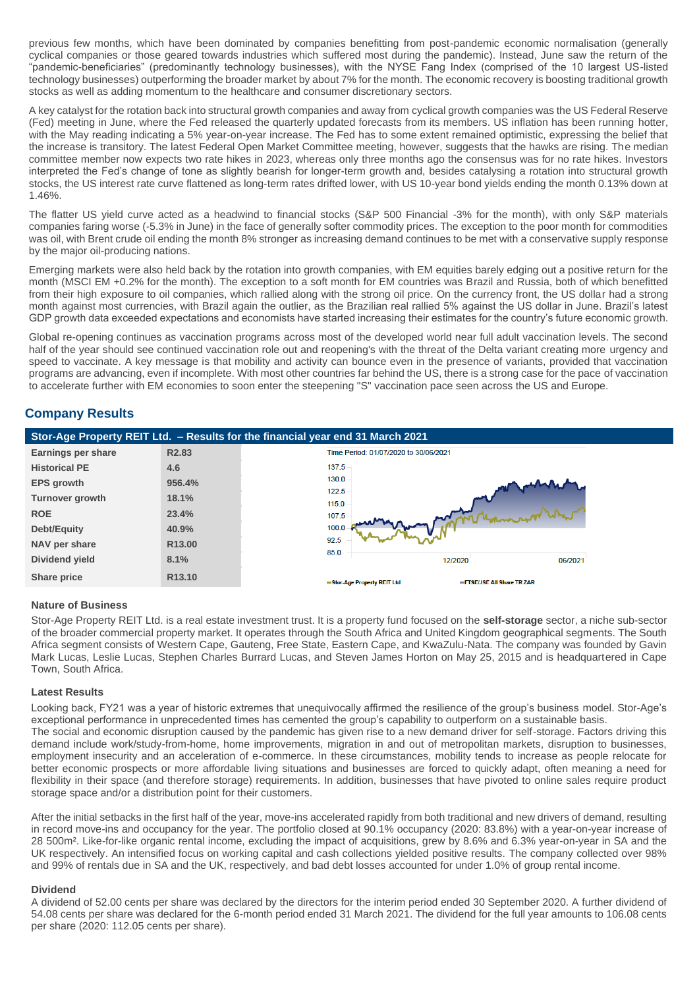previous few months, which have been dominated by companies benefitting from post-pandemic economic normalisation (generally cyclical companies or those geared towards industries which suffered most during the pandemic). Instead, June saw the return of the "pandemic-beneficiaries" (predominantly technology businesses), with the NYSE Fang Index (comprised of the 10 largest US-listed technology businesses) outperforming the broader market by about 7% for the month. The economic recovery is boosting traditional growth stocks as well as adding momentum to the healthcare and consumer discretionary sectors.

A key catalyst for the rotation back into structural growth companies and away from cyclical growth companies was the US Federal Reserve (Fed) meeting in June, where the Fed released the quarterly updated forecasts from its members. US inflation has been running hotter, with the May reading indicating a 5% year-on-year increase. The Fed has to some extent remained optimistic, expressing the belief that the increase is transitory. The latest Federal Open Market Committee meeting, however, suggests that the hawks are rising. The median committee member now expects two rate hikes in 2023, whereas only three months ago the consensus was for no rate hikes. Investors interpreted the Fed's change of tone as slightly bearish for longer-term growth and, besides catalysing a rotation into structural growth stocks, the US interest rate curve flattened as long-term rates drifted lower, with US 10-year bond yields ending the month 0.13% down at 1.46%.

The flatter US yield curve acted as a headwind to financial stocks (S&P 500 Financial -3% for the month), with only S&P materials companies faring worse (-5.3% in June) in the face of generally softer commodity prices. The exception to the poor month for commodities was oil, with Brent crude oil ending the month 8% stronger as increasing demand continues to be met with a conservative supply response by the major oil-producing nations.

Emerging markets were also held back by the rotation into growth companies, with EM equities barely edging out a positive return for the month (MSCI EM +0.2% for the month). The exception to a soft month for EM countries was Brazil and Russia, both of which benefitted from their high exposure to oil companies, which rallied along with the strong oil price. On the currency front, the US dollar had a strong month against most currencies, with Brazil again the outlier, as the Brazilian real rallied 5% against the US dollar in June. Brazil's latest GDP growth data exceeded expectations and economists have started increasing their estimates for the country's future economic growth.

Global re-opening continues as vaccination programs across most of the developed world near full adult vaccination levels. The second half of the year should see continued vaccination role out and reopening's with the threat of the Delta variant creating more urgency and speed to vaccinate. A key message is that mobility and activity can bounce even in the presence of variants, provided that vaccination programs are advancing, even if incomplete. With most other countries far behind the US, there is a strong case for the pace of vaccination to accelerate further with EM economies to soon enter the steepening "S" vaccination pace seen across the US and Europe.

## **Company Results**



#### **Nature of Business**

Stor-Age Property REIT Ltd. is a real estate investment trust. It is a property fund focused on the **self-storage** sector, a niche sub-sector of the broader commercial property market. It operates through the South Africa and United Kingdom geographical segments. The South Africa segment consists of Western Cape, Gauteng, Free State, Eastern Cape, and KwaZulu-Nata. The company was founded by Gavin Mark Lucas, Leslie Lucas, Stephen Charles Burrard Lucas, and Steven James Horton on May 25, 2015 and is headquartered in Cape Town, South Africa.

#### **Latest Results**

Looking back, FY21 was a year of historic extremes that unequivocally affirmed the resilience of the group's business model. Stor-Age's exceptional performance in unprecedented times has cemented the group's capability to outperform on a sustainable basis. The social and economic disruption caused by the pandemic has given rise to a new demand driver for self-storage. Factors driving this demand include work/study-from-home, home improvements, migration in and out of metropolitan markets, disruption to businesses, employment insecurity and an acceleration of e-commerce. In these circumstances, mobility tends to increase as people relocate for better economic prospects or more affordable living situations and businesses are forced to quickly adapt, often meaning a need for flexibility in their space (and therefore storage) requirements. In addition, businesses that have pivoted to online sales require product storage space and/or a distribution point for their customers.

After the initial setbacks in the first half of the year, move-ins accelerated rapidly from both traditional and new drivers of demand, resulting in record move-ins and occupancy for the year. The portfolio closed at 90.1% occupancy (2020: 83.8%) with a year-on-year increase of 28 500m². Like-for-like organic rental income, excluding the impact of acquisitions, grew by 8.6% and 6.3% year-on-year in SA and the UK respectively. An intensified focus on working capital and cash collections yielded positive results. The company collected over 98% and 99% of rentals due in SA and the UK, respectively, and bad debt losses accounted for under 1.0% of group rental income.

#### **Dividend**

A dividend of 52.00 cents per share was declared by the directors for the interim period ended 30 September 2020. A further dividend of 54.08 cents per share was declared for the 6-month period ended 31 March 2021. The dividend for the full year amounts to 106.08 cents per share (2020: 112.05 cents per share).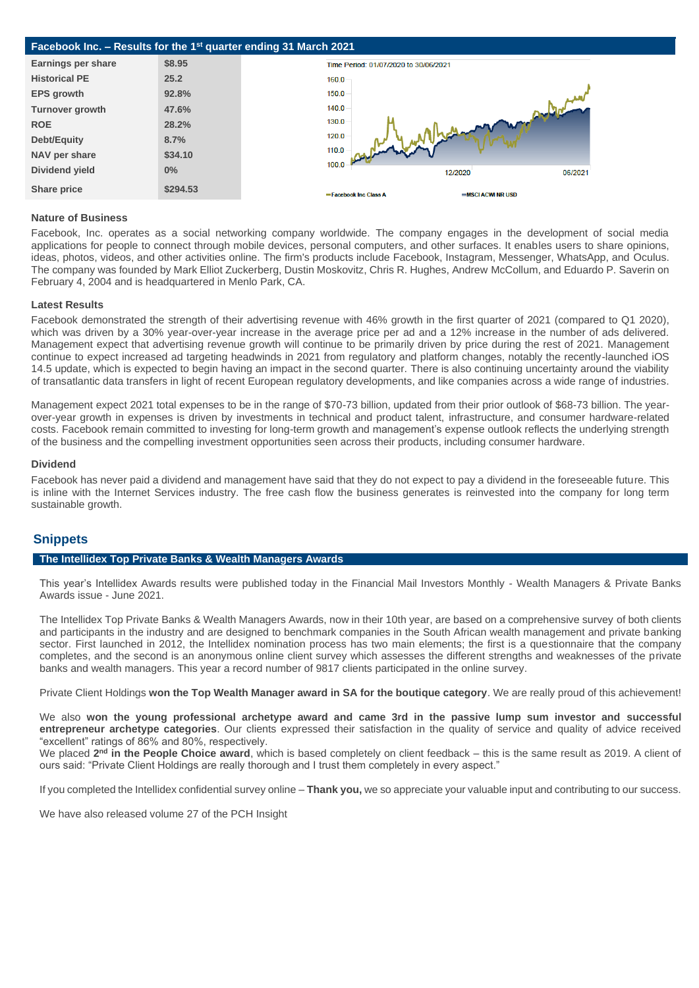

#### **Nature of Business**

Facebook, Inc. operates as a social networking company worldwide. The company engages in the development of social media applications for people to connect through mobile devices, personal computers, and other surfaces. It enables users to share opinions, ideas, photos, videos, and other activities online. The firm's products include Facebook, Instagram, Messenger, WhatsApp, and Oculus. The company was founded by Mark Elliot Zuckerberg, Dustin Moskovitz, Chris R. Hughes, Andrew McCollum, and Eduardo P. Saverin on February 4, 2004 and is headquartered in Menlo Park, CA.

#### **Latest Results**

Facebook demonstrated the strength of their advertising revenue with 46% growth in the first quarter of 2021 (compared to Q1 2020), which was driven by a 30% year-over-year increase in the average price per ad and a 12% increase in the number of ads delivered. Management expect that advertising revenue growth will continue to be primarily driven by price during the rest of 2021. Management continue to expect increased ad targeting headwinds in 2021 from regulatory and platform changes, notably the recently-launched iOS 14.5 update, which is expected to begin having an impact in the second quarter. There is also continuing uncertainty around the viability of transatlantic data transfers in light of recent European regulatory developments, and like companies across a wide range of industries.

Management expect 2021 total expenses to be in the range of \$70-73 billion, updated from their prior outlook of \$68-73 billion. The yearover-year growth in expenses is driven by investments in technical and product talent, infrastructure, and consumer hardware-related costs. Facebook remain committed to investing for long-term growth and management's expense outlook reflects the underlying strength of the business and the compelling investment opportunities seen across their products, including consumer hardware.

#### **Dividend**

Facebook has never paid a dividend and management have said that they do not expect to pay a dividend in the foreseeable future. This is inline with the Internet Services industry. The free cash flow the business generates is reinvested into the company for long term sustainable growth.

### **Snippets**

#### **The Intellidex Top Private Banks & Wealth Managers Awards**

This year's Intellidex Awards results were published today in the Financial Mail Investors Monthly - Wealth Managers & Private Banks Awards issue - June 2021.

The Intellidex Top Private Banks & Wealth Managers Awards, now in their 10th year, are based on a comprehensive survey of both clients and participants in the industry and are designed to benchmark companies in the South African wealth management and private banking sector. First launched in 2012, the Intellidex nomination process has two main elements; the first is a questionnaire that the company completes, and the second is an anonymous online client survey which assesses the different strengths and weaknesses of the private banks and wealth managers. This year a record number of 9817 clients participated in the online survey.

Private Client Holdings **won the Top Wealth Manager award in SA for the boutique category**. We are really proud of this achievement!

We also **won the young professional archetype award and came 3rd in the passive lump sum investor and successful entrepreneur archetype categories**. Our clients expressed their satisfaction in the quality of service and quality of advice received "excellent" ratings of 86% and 80%, respectively.

We placed 2<sup>nd</sup> in the People Choice award, which is based completely on client feedback – this is the same result as 2019. A client of ours said: "Private Client Holdings are really thorough and I trust them completely in every aspect."

If you completed the Intellidex confidential survey online – **Thank you,** we so appreciate your valuable input and contributing to our success.

We have also released volume 27 of the PCH Insight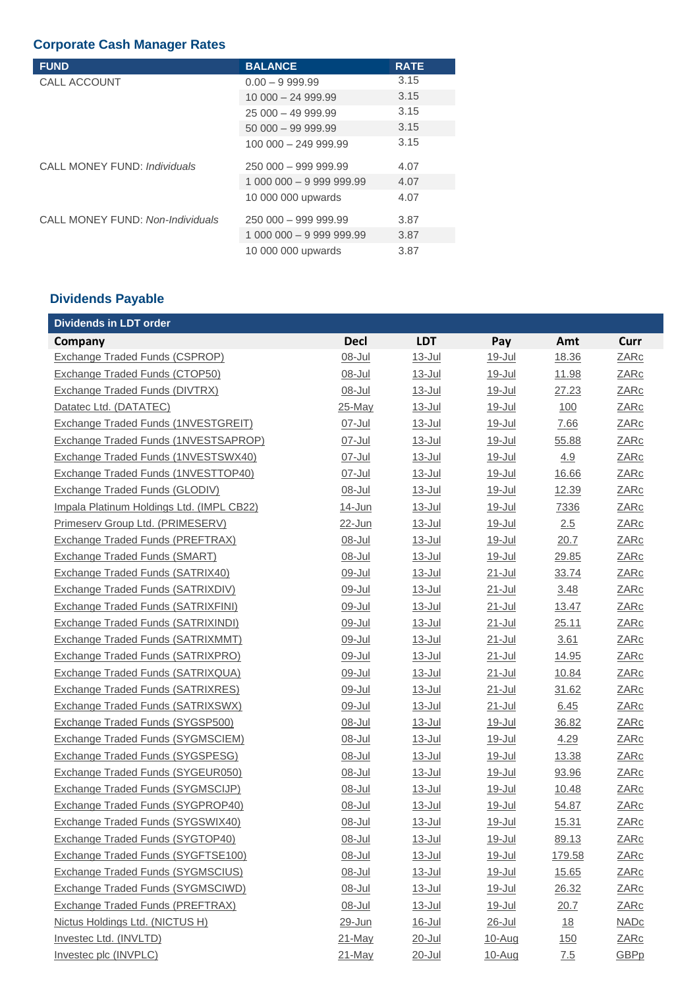## **Corporate Cash Manager Rates**

| <b>FUND</b>                      | <b>BALANCE</b>           | <b>RATE</b> |
|----------------------------------|--------------------------|-------------|
| CALL ACCOUNT                     | $0.00 - 9999.99$         | 3.15        |
|                                  | $10000 - 2499.99$        | 3.15        |
|                                  | $25000 - 4999.99$        | 3.15        |
|                                  | $50000 - 9999.99$        | 3.15        |
|                                  | $10000 - 24999.99$       | 3.15        |
| CALL MONEY FUND: Individuals     | 250 000 - 999 999.99     | 4.07        |
|                                  | 1 000 000 - 9 999 999.99 | 4.07        |
|                                  | 10 000 000 upwards       | 4.07        |
| CALL MONEY FUND: Non-Individuals | 250 000 - 999 999.99     | 3.87        |
|                                  | 1 000 000 - 9 999 999.99 | 3.87        |
|                                  | 10 000 000 upwards       | 3.87        |

# **Dividends Payable**

| <b>Dividends in LDT order</b>              |             |               |               |                  |             |
|--------------------------------------------|-------------|---------------|---------------|------------------|-------------|
| Company                                    | <b>Decl</b> | <b>LDT</b>    | Pay           | Amt              | Curr        |
| Exchange Traded Funds (CSPROP)             | 08-Jul      | $13 -$ Jul    | 19-Jul        | 18.36            | <b>ZARc</b> |
| Exchange Traded Funds (CTOP50)             | 08-Jul      | $13 -$ Jul    | 19-Jul        | 11.98            | <b>ZARc</b> |
| <b>Exchange Traded Funds (DIVTRX)</b>      | 08-Jul      | $13 -$ Jul    | 19-Jul        | 27.23            | <b>ZARc</b> |
| Datatec Ltd. (DATATEC)                     | 25-May      | $13 -$ Jul    | 19-Jul        | 100              | <b>ZARc</b> |
| <b>Exchange Traded Funds (1NVESTGREIT)</b> | 07-Jul      | $13 -$ Jul    | 19-Jul        | 7.66             | <b>ZARc</b> |
| Exchange Traded Funds (1NVESTSAPROP)       | 07-Jul      | $13 -$ Jul    | 19-Jul        | 55.88            | <b>ZARc</b> |
| Exchange Traded Funds (1NVESTSWX40)        | 07-Jul      | $13 -$ Jul    | 19-Jul        | 4.9              | <b>ZARc</b> |
| Exchange Traded Funds (1NVESTTOP40)        | 07-Jul      | 13-Jul        | 19-Jul        | 16.66            | <b>ZARc</b> |
| <b>Exchange Traded Funds (GLODIV)</b>      | 08-Jul      | 13-Jul        | 19-Jul        | 12.39            | <b>ZARc</b> |
| Impala Platinum Holdings Ltd. (IMPL CB22)  | 14-Jun      | 13-Jul        | 19-Jul        | 7336             | <b>ZARc</b> |
| Primeserv Group Ltd. (PRIMESERV)           | 22-Jun      | $13 -$ Jul    | 19-Jul        | 2.5              | <b>ZARc</b> |
| <b>Exchange Traded Funds (PREFTRAX)</b>    | 08-Jul      | $13 -$ Jul    | 19-Jul        | 20.7             | <b>ZARc</b> |
| <b>Exchange Traded Funds (SMART)</b>       | 08-Jul      | 13-Jul        | 19-Jul        | 29.85            | <b>ZARc</b> |
| Exchange Traded Funds (SATRIX40)           | 09-Jul      | $13 -$ Jul    | $21 -$ Jul    | 33.74            | <b>ZARc</b> |
| <b>Exchange Traded Funds (SATRIXDIV)</b>   | 09-Jul      | $13 -$ Jul    | $21 -$ Jul    | 3.48             | <b>ZARc</b> |
| <b>Exchange Traded Funds (SATRIXFINI)</b>  | 09-Jul      | 13-Jul        | 21-Jul        | 13.47            | <b>ZARc</b> |
| <b>Exchange Traded Funds (SATRIXINDI)</b>  | 09-Jul      | 13-Jul        | 21-Jul        | 25.11            | <b>ZARc</b> |
| <b>Exchange Traded Funds (SATRIXMMT)</b>   | 09-Jul      | $13 -$ Jul    | 21-Jul        | 3.61             | <b>ZARc</b> |
| Exchange Traded Funds (SATRIXPRO)          | 09-Jul      | 13-Jul        | $21 -$ Jul    | 14.95            | <b>ZARc</b> |
| <b>Exchange Traded Funds (SATRIXQUA)</b>   | 09-Jul      | $13 -$ Jul    | $21 -$ Jul    | 10.84            | <b>ZARc</b> |
| <b>Exchange Traded Funds (SATRIXRES)</b>   | 09-Jul      | 13-Jul        | 21-Jul        | 31.62            | <b>ZARc</b> |
| <b>Exchange Traded Funds (SATRIXSWX)</b>   | 09-Jul      | $13 -$ Jul    | $21 -$ Jul    | 6.45             | <b>ZARc</b> |
| Exchange Traded Funds (SYGSP500)           | 08-Jul      | $13 -$ Jul    | 19-Jul        | 36.82            | <b>ZARc</b> |
| <b>Exchange Traded Funds (SYGMSCIEM)</b>   | 08-Jul      | 13-Jul        | 19-Jul        | 4.29             | <b>ZARc</b> |
| Exchange Traded Funds (SYGSPESG)           | 08-Jul      | $13 -$ Jul    | 19-Jul        | 13.38            | <b>ZARc</b> |
| Exchange Traded Funds (SYGEUR050)          | 08-Jul      | $13 -$ Jul    | 19-Jul        | 93.96            | <b>ZARc</b> |
| Exchange Traded Funds (SYGMSCIJP)          | 08-Jul      | 13-Jul        | 19-Jul        | 10.48            | <b>ZARc</b> |
| <b>Exchange Traded Funds (SYGPROP40)</b>   | 08-Jul      | <u>13-Jul</u> | 19-Jul        | 54.87            | <b>ZARc</b> |
| Exchange Traded Funds (SYGSWIX40)          | 08-Jul      | 13-Jul        | 19-Jul        | 15.31            | ZARc        |
| Exchange Traded Funds (SYGTOP40)           | 08-Jul      | $13 -$ Jul    | 19-Jul        | 89.13            | ZARc        |
| Exchange Traded Funds (SYGFTSE100)         | 08-Jul      | <u>13-Jul</u> | <u>19-Jul</u> | 179.58           | <b>ZARc</b> |
| <b>Exchange Traded Funds (SYGMSCIUS)</b>   | 08-Jul      | 13-Jul        | <u>19-Jul</u> | 15.65            | <b>ZARc</b> |
| <b>Exchange Traded Funds (SYGMSCIWD)</b>   | 08-Jul      | 13-Jul        | <u>19-Jul</u> | 26.32            | <b>ZARc</b> |
| <b>Exchange Traded Funds (PREFTRAX)</b>    | 08-Jul      | <u>13-Jul</u> | 19-Jul        | 20.7             | <b>ZARc</b> |
| Nictus Holdings Ltd. (NICTUS H)            | 29-Jun      | 16-Jul        | 26-Jul        | $\underline{18}$ | <b>NADc</b> |
| Investec Ltd. (INVLTD)                     | 21-May      | 20-Jul        | 10-Aug        | <u>150</u>       | <b>ZARc</b> |
| Investec plc (INVPLC)                      | 21-May      | 20-Jul        | 10-Aug        | 7.5              | <b>GBPp</b> |